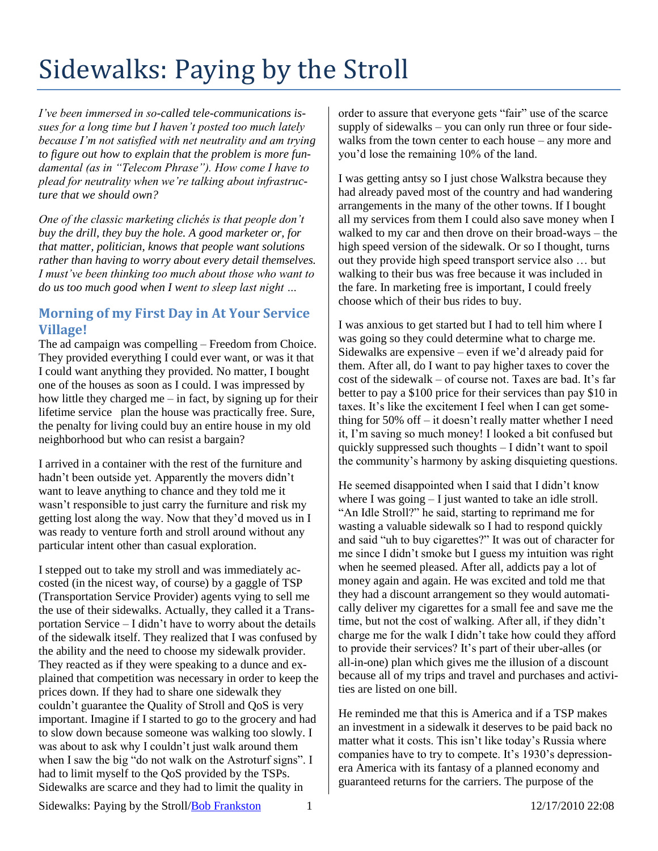## Sidewalks: Paying by the Stroll

*I've been immersed in so-called tele-communications issues for a long time but I haven't posted too much lately because I'm not satisfied with net neutrality and am trying to figure out how to explain that the problem is more fundamental (as in "Telecom Phrase"). How come I have to plead for neutrality when we're talking about infrastructure that we should own?*

*One of the classic marketing clichés is that people don't buy the drill, they buy the hole. A good marketer or, for that matter, politician, knows that people want solutions rather than having to worry about every detail themselves. I must've been thinking too much about those who want to do us too much good when I went to sleep last night …*

## **Morning of my First Day in At Your Service Village!**

The ad campaign was compelling – Freedom from Choice. They provided everything I could ever want, or was it that I could want anything they provided. No matter, I bought one of the houses as soon as I could. I was impressed by how little they charged me  $-$  in fact, by signing up for their lifetime service plan the house was practically free. Sure, the penalty for living could buy an entire house in my old neighborhood but who can resist a bargain?

I arrived in a container with the rest of the furniture and hadn't been outside yet. Apparently the movers didn't want to leave anything to chance and they told me it wasn't responsible to just carry the furniture and risk my getting lost along the way. Now that they'd moved us in I was ready to venture forth and stroll around without any particular intent other than casual exploration.

I stepped out to take my stroll and was immediately accosted (in the nicest way, of course) by a gaggle of TSP (Transportation Service Provider) agents vying to sell me the use of their sidewalks. Actually, they called it a Transportation Service – I didn't have to worry about the details of the sidewalk itself. They realized that I was confused by the ability and the need to choose my sidewalk provider. They reacted as if they were speaking to a dunce and explained that competition was necessary in order to keep the prices down. If they had to share one sidewalk they couldn't guarantee the Quality of Stroll and QoS is very important. Imagine if I started to go to the grocery and had to slow down because someone was walking too slowly. I was about to ask why I couldn't just walk around them when I saw the big "do not walk on the Astroturf signs". I had to limit myself to the QoS provided by the TSPs. Sidewalks are scarce and they had to limit the quality in

order to assure that everyone gets "fair" use of the scarce supply of sidewalks – you can only run three or four sidewalks from the town center to each house – any more and you'd lose the remaining 10% of the land.

I was getting antsy so I just chose Walkstra because they had already paved most of the country and had wandering arrangements in the many of the other towns. If I bought all my services from them I could also save money when I walked to my car and then drove on their broad-ways – the high speed version of the sidewalk. Or so I thought, turns out they provide high speed transport service also … but walking to their bus was free because it was included in the fare. In marketing free is important, I could freely choose which of their bus rides to buy.

I was anxious to get started but I had to tell him where I was going so they could determine what to charge me. Sidewalks are expensive – even if we'd already paid for them. After all, do I want to pay higher taxes to cover the cost of the sidewalk – of course not. Taxes are bad. It's far better to pay a \$100 price for their services than pay \$10 in taxes. It's like the excitement I feel when I can get something for 50% off – it doesn't really matter whether I need it, I'm saving so much money! I looked a bit confused but quickly suppressed such thoughts – I didn't want to spoil the community's harmony by asking disquieting questions.

He seemed disappointed when I said that I didn't know where I was going – I just wanted to take an idle stroll. "An Idle Stroll?" he said, starting to reprimand me for wasting a valuable sidewalk so I had to respond quickly and said "uh to buy cigarettes?" It was out of character for me since I didn't smoke but I guess my intuition was right when he seemed pleased. After all, addicts pay a lot of money again and again. He was excited and told me that they had a discount arrangement so they would automatically deliver my cigarettes for a small fee and save me the time, but not the cost of walking. After all, if they didn't charge me for the walk I didn't take how could they afford to provide their services? It's part of their uber-alles (or all-in-one) plan which gives me the illusion of a discount because all of my trips and travel and purchases and activities are listed on one bill.

He reminded me that this is America and if a TSP makes an investment in a sidewalk it deserves to be paid back no matter what it costs. This isn't like today's Russia where companies have to try to compete. It's 1930's depressionera America with its fantasy of a planned economy and guaranteed returns for the carriers. The purpose of the

Sidewalks: Paying by the Stroll/Bob Frankston 1 12/17/2010 22:08